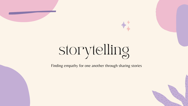

Finding empathy for one another through sharing stories





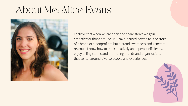#### About Me: Alice Evans



I believe that when we are open and share stores we gain empathy for those around us. I have learned how to tell the story of a brand or a nonprofit to build brand awareness and generate revenue. I know how to think creatively and operate efficiently. I enjoy telling stories and promoting brands and organizations that center around diverse people and experiences.

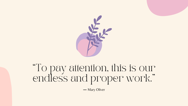

### "To pay attention, this is our endless and proper work. "

**―** Mary Oliver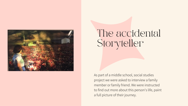

#### The accidental Storyteller

As part of a middle school, social studies project we were asked to interview a family member or family friend. We were instructed to find out more about this person's life, paint a full picture of their journey.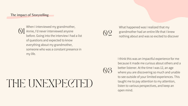## THE UNEXPECTED

When I interviewed my grandmother,  $\bigcup$  Annie, I'd never interviewed anyone<br>before. Going into the interview I had a list before. Going into the interview I had a list of questions and expected to know everything about my grandmother, someone who was a constant presence in my life.

03

What happened was I realized that my grandmother had an entire life that I knew nothing about and was so excited to discover

I think this was an impactful experience for me because it made me curious about others and a better listener. At the time I was 12, an age where you are discovering so much and unable to see outside of your limited experiences. This taught me to pay attention to my attention, listen to various perspectives, and keep an open mind.